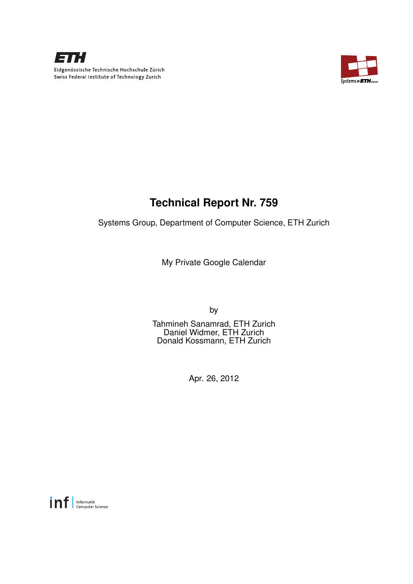

Eidgenössische Technische Hochschule Zürich Swiss Federal Institute of Technology Zurich



# **Technical Report Nr. 759**

Systems Group, Department of Computer Science, ETH Zurich

My Private Google Calendar

by

Tahmineh Sanamrad, ETH Zurich Daniel Widmer, ETH Zurich Donald Kossmann, ETH Zurich

Apr. 26, 2012

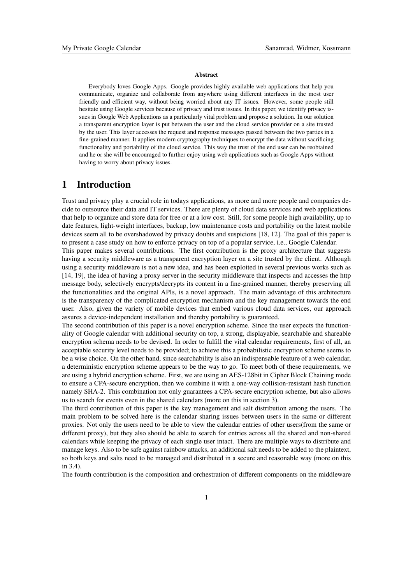#### **Abstract**

Everybody loves Google Apps. Google provides highly available web applications that help you communicate, organize and collaborate from anywhere using different interfaces in the most user friendly and efficient way, without being worried about any IT issues. However, some people still hesitate using Google services because of privacy and trust issues. In this paper, we identify privacy issues in Google Web Applications as a particularly vital problem and propose a solution. In our solution a transparent encryption layer is put between the user and the cloud service provider on a site trusted by the user. This layer accesses the request and response messages passed between the two parties in a fine-grained manner. It applies modern cryptography techniques to encrypt the data without sacrificing functionality and portability of the cloud service. This way the trust of the end user can be reobtained and he or she will be encouraged to further enjoy using web applications such as Google Apps without having to worry about privacy issues.

# 1 Introduction

Trust and privacy play a crucial role in todays applications, as more and more people and companies decide to outsource their data and IT services. There are plenty of cloud data services and web applications that help to organize and store data for free or at a low cost. Still, for some people high availability, up to date features, light-weight interfaces, backup, low maintenance costs and portability on the latest mobile devices seem all to be overshadowed by privacy doubts and suspicions [18, 12]. The goal of this paper is to present a case study on how to enforce privacy on top of a popular service, i.e., Google Calendar.

This paper makes several contributions. The first contribution is the proxy architecture that suggests having a security middleware as a transparent encryption layer on a site trusted by the client. Although using a security middleware is not a new idea, and has been exploited in several previous works such as [14, 19], the idea of having a proxy server in the security middleware that inspects and accesses the http message body, selectively encrypts/decrypts its content in a fine-grained manner, thereby preserving all the functionalities and the original APIs, is a novel approach. The main advantage of this architecture is the transparency of the complicated encryption mechanism and the key management towards the end user. Also, given the variety of mobile devices that embed various cloud data services, our approach assures a device-independent installation and thereby portability is guaranteed.

The second contribution of this paper is a novel encryption scheme. Since the user expects the functionality of Google calendar with additional security on top, a strong, displayable, searchable and shareable encryption schema needs to be devised. In order to fulfill the vital calendar requirements, first of all, an acceptable security level needs to be provided; to achieve this a probabilistic encryption scheme seems to be a wise choice. On the other hand, since searchability is also an indispensable feature of a web calendar, a deterministic encryption scheme appears to be the way to go. To meet both of these requirements, we are using a hybrid encryption scheme. First, we are using an AES-128bit in Cipher Block Chaining mode to ensure a CPA-secure encryption, then we combine it with a one-way collision-resistant hash function namely SHA-2. This combination not only guarantees a CPA-secure encryption scheme, but also allows us to search for events even in the shared calendars (more on this in section 3).

The third contribution of this paper is the key management and salt distribution among the users. The main problem to be solved here is the calendar sharing issues between users in the same or different proxies. Not only the users need to be able to view the calendar entries of other users(from the same or different proxy), but they also should be able to search for entries across all the shared and non-shared calendars while keeping the privacy of each single user intact. There are multiple ways to distribute and manage keys. Also to be safe against rainbow attacks, an additional salt needs to be added to the plaintext, so both keys and salts need to be managed and distributed in a secure and reasonable way (more on this in 3.4).

The fourth contribution is the composition and orchestration of different components on the middleware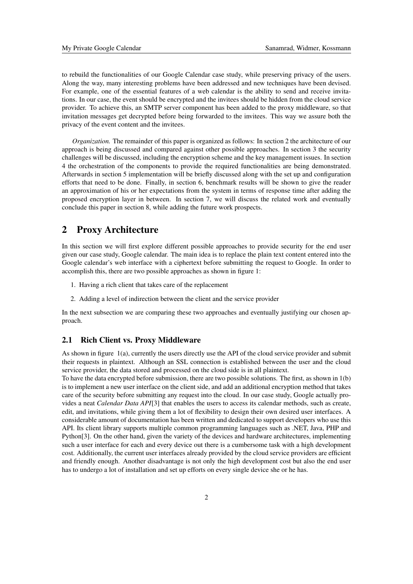to rebuild the functionalities of our Google Calendar case study, while preserving privacy of the users. Along the way, many interesting problems have been addressed and new techniques have been devised. For example, one of the essential features of a web calendar is the ability to send and receive invitations. In our case, the event should be encrypted and the invitees should be hidden from the cloud service provider. To achieve this, an SMTP server component has been added to the proxy middleware, so that invitation messages get decrypted before being forwarded to the invitees. This way we assure both the privacy of the event content and the invitees.

*Organization.* The remainder of this paper is organized as follows: In section 2 the architecture of our approach is being discussed and compared against other possible approaches. In section 3 the security challenges will be discussed, including the encryption scheme and the key management issues. In section 4 the orchestration of the components to provide the required functionalities are being demonstrated. Afterwards in section 5 implementation will be briefly discussed along with the set up and configuration efforts that need to be done. Finally, in section 6, benchmark results will be shown to give the reader an approximation of his or her expectations from the system in terms of response time after adding the proposed encryption layer in between. In section 7, we will discuss the related work and eventually conclude this paper in section 8, while adding the future work prospects.

# 2 Proxy Architecture

In this section we will first explore different possible approaches to provide security for the end user given our case study, Google calendar. The main idea is to replace the plain text content entered into the Google calendar's web interface with a ciphertext before submitting the request to Google. In order to accomplish this, there are two possible approaches as shown in figure 1:

- 1. Having a rich client that takes care of the replacement
- 2. Adding a level of indirection between the client and the service provider

In the next subsection we are comparing these two approaches and eventually justifying our chosen approach.

#### 2.1 Rich Client vs. Proxy Middleware

As shown in figure 1(a), currently the users directly use the API of the cloud service provider and submit their requests in plaintext. Although an SSL connection is established between the user and the cloud service provider, the data stored and processed on the cloud side is in all plaintext.

To have the data encrypted before submission, there are two possible solutions. The first, as shown in 1(b) is to implement a new user interface on the client side, and add an additional encryption method that takes care of the security before submitting any request into the cloud. In our case study, Google actually provides a neat *Calendar Data API*[3] that enables the users to access its calendar methods, such as create, edit, and invitations, while giving them a lot of flexibility to design their own desired user interfaces. A considerable amount of documentation has been written and dedicated to support developers who use this API. Its client library supports multiple common programming languages such as .NET, Java, PHP and Python[3]. On the other hand, given the variety of the devices and hardware architectures, implementing such a user interface for each and every device out there is a cumbersome task with a high development cost. Additionally, the current user interfaces already provided by the cloud service providers are efficient and friendly enough. Another disadvantage is not only the high development cost but also the end user has to undergo a lot of installation and set up efforts on every single device she or he has.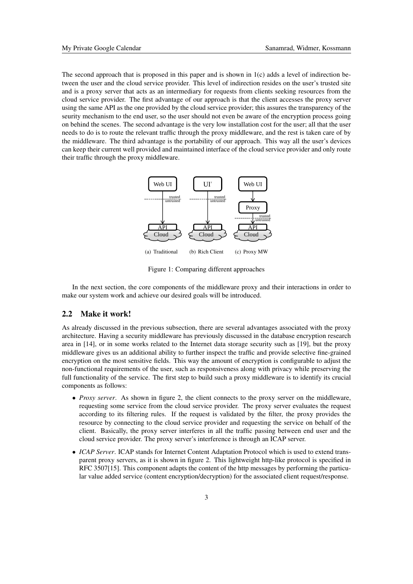The second approach that is proposed in this paper and is shown in 1(c) adds a level of indirection between the user and the cloud service provider. This level of indirection resides on the user's trusted site and is a proxy server that acts as an intermediary for requests from clients seeking resources from the cloud service provider. The first advantage of our approach is that the client accesses the proxy server using the same API as the one provided by the cloud service provider; this assures the transparency of the seurity mechanism to the end user, so the user should not even be aware of the encryption process going on behind the scenes. The second advantage is the very low installation cost for the user; all that the user needs to do is to route the relevant traffic through the proxy middleware, and the rest is taken care of by the middleware. The third advantage is the portability of our approach. This way all the user's devices can keep their current well provided and maintained interface of the cloud service provider and only route their traffic through the proxy middleware.



Figure 1: Comparing different approaches

In the next section, the core components of the middleware proxy and their interactions in order to make our system work and achieve our desired goals will be introduced.

## 2.2 Make it work!

As already discussed in the previous subsection, there are several advantages associated with the proxy architecture. Having a security middleware has previously discussed in the database encryption research area in [14], or in some works related to the Internet data storage security such as [19], but the proxy middleware gives us an additional ability to further inspect the traffic and provide selective fine-grained encryption on the most sensitive fields. This way the amount of encryption is configurable to adjust the non-functional requirements of the user, such as responsiveness along with privacy while preserving the full functionality of the service. The first step to build such a proxy middleware is to identify its crucial components as follows:

- *Proxy server*. As shown in figure 2, the client connects to the proxy server on the middleware, requesting some service from the cloud service provider. The proxy server evaluates the request according to its filtering rules. If the request is validated by the filter, the proxy provides the resource by connecting to the cloud service provider and requesting the service on behalf of the client. Basically, the proxy server interferes in all the traffic passing between end user and the cloud service provider. The proxy server's interference is through an ICAP server.
- *ICAP Server*. ICAP stands for Internet Content Adaptation Protocol which is used to extend transparent proxy servers, as it is shown in figure 2. This lightweight http-like protocol is specified in RFC 3507[15]. This component adapts the content of the http messages by performing the particular value added service (content encryption/decryption) for the associated client request/response.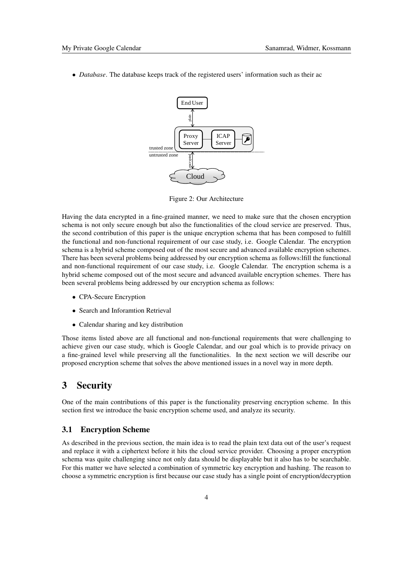• *Database*. The database keeps track of the registered users' information such as their ac



Figure 2: Our Architecture

Having the data encrypted in a fine-grained manner, we need to make sure that the chosen encryption schema is not only secure enough but also the functionalities of the cloud service are preserved. Thus, the second contribution of this paper is the unique encryption schema that has been composed to fulfill the functional and non-functional requirement of our case study, i.e. Google Calendar. The encryption schema is a hybrid scheme composed out of the most secure and advanced available encryption schemes. There has been several problems being addressed by our encryption schema as follows:lfill the functional and non-functional requirement of our case study, i.e. Google Calendar. The encryption schema is a hybrid scheme composed out of the most secure and advanced available encryption schemes. There has been several problems being addressed by our encryption schema as follows:

- CPA-Secure Encryption
- Search and Inforamtion Retrieval
- Calendar sharing and key distribution

Those items listed above are all functional and non-functional requirements that were challenging to achieve given our case study, which is Google Calendar, and our goal which is to provide privacy on a fine-grained level while preserving all the functionalities. In the next section we will describe our proposed encryption scheme that solves the above mentioned issues in a novel way in more depth.

## 3 Security

One of the main contributions of this paper is the functionality preserving encryption scheme. In this section first we introduce the basic encryption scheme used, and analyze its security.

#### 3.1 Encryption Scheme

As described in the previous section, the main idea is to read the plain text data out of the user's request and replace it with a ciphertext before it hits the cloud service provider. Choosing a proper encryption schema was quite challenging since not only data should be displayable but it also has to be searchable. For this matter we have selected a combination of symmetric key encryption and hashing. The reason to choose a symmetric encryption is first because our case study has a single point of encryption/decryption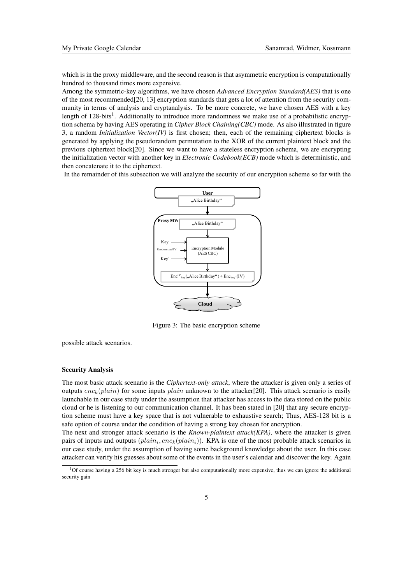which is in the proxy middleware, and the second reason is that asymmetric encryption is computationally hundred to thousand times more expensive.

Among the symmetric-key algorithms, we have chosen *Advanced Encryption Standard(AES)* that is one of the most recommended[20, 13] encryption standards that gets a lot of attention from the security community in terms of analysis and cryptanalysis. To be more concrete, we have chosen AES with a key length of 128-bits<sup>1</sup>. Additionally to introduce more randomness we make use of a probabilistic encryption schema by having AES operating in *Cipher Block Chaining(CBC)* mode. As also illustrated in figure 3, a random *Initialization Vector(IV)* is first chosen; then, each of the remaining ciphertext blocks is generated by applying the pseudorandom permutation to the XOR of the current plaintext block and the previous ciphertext block[20]. Since we want to have a stateless encryption schema, we are encrypting the initialization vector with another key in *Electronic Codebook(ECB)* mode which is deterministic, and then concatenate it to the ciphertext.

In the remainder of this subsection we will analyze the security of our encryption scheme so far with the



Figure 3: The basic encryption scheme

possible attack scenarios.

#### Security Analysis

The most basic attack scenario is the *Ciphertext-only attack*, where the attacker is given only a series of outputs  $enc_k(plain)$  for some inputs plain unknown to the attacker[20]. This attack scenario is easily launchable in our case study under the assumption that attacker has access to the data stored on the public cloud or he is listening to our communication channel. It has been stated in [20] that any secure encryption scheme must have a key space that is not vulnerable to exhaustive search; Thus, AES-128 bit is a safe option of course under the condition of having a strong key chosen for encryption.

The next and stronger attack scenario is the *Known-plaintext attack(KPA)*, where the attacker is given pairs of inputs and outputs  $(plain_i, enc_k(plain_i))$ . KPA is one of the most probable attack scenarios in our case study, under the assumption of having some background knowledge about the user. In this case attacker can verify his guesses about some of the events in the user's calendar and discover the key. Again

 $10f$  course having a 256 bit key is much stronger but also computationally more expensive, thus we can ignore the additional security gain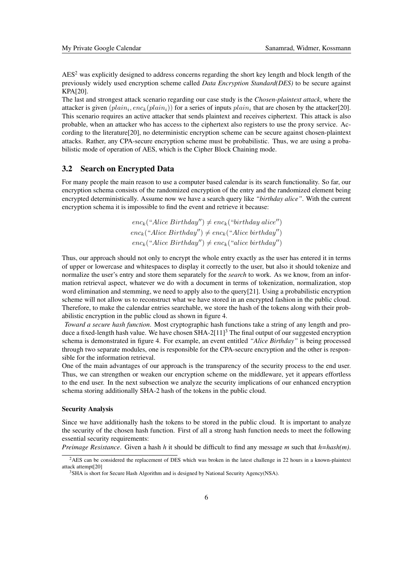$\text{AES}^2$  was explicitly designed to address concerns regarding the short key length and block length of the previously widely used encryption scheme called *Data Encryption Standard(DES)* to be secure against KPA[20].

The last and strongest attack scenario regarding our case study is the *Chosen-plaintext attack*, where the attacker is given  $(plain_i, enc_k(plain_i))$  for a series of inputs  $plain_i$  that are chosen by the attacker[20]. This scenario requires an active attacker that sends plaintext and receives ciphertext. This attack is also probable, when an attacker who has access to the ciphertext also registers to use the proxy service. According to the literature[20], no deterministic encryption scheme can be secure against chosen-plaintext attacks. Rather, any CPA-secure encryption scheme must be probabilistic. Thus, we are using a probabilistic mode of operation of AES, which is the Cipher Block Chaining mode.

### 3.2 Search on Encrypted Data

For many people the main reason to use a computer based calendar is its search functionality. So far, our encryption schema consists of the randomized encryption of the entry and the randomized element being encrypted deterministically. Assume now we have a search query like *"birthday alice"*. With the current encryption schema it is impossible to find the event and retrieve it because:

> $enc_k("Alice Birthday") \neq enc_k("birthday alice")$  $enc_k("Alice Birthday") \neq enc_k("Alice birthday")$  $enc_k("Alice Birthday") \neq enc_k("alice birthday")$

Thus, our approach should not only to encrypt the whole entry exactly as the user has entered it in terms of upper or lowercase and whitespaces to display it correctly to the user, but also it should tokenize and normalize the user's entry and store them separately for the *search* to work. As we know, from an information retrieval aspect, whatever we do with a document in terms of tokenization, normalization, stop word elimination and stemming, we need to apply also to the query[21]. Using a probabilistic encryption scheme will not allow us to reconstruct what we have stored in an encrypted fashion in the public cloud. Therefore, to make the calendar entries searchable, we store the hash of the tokens along with their probabilistic encryption in the public cloud as shown in figure 4.

*Toward a secure hash function*. Most cryptographic hash functions take a string of any length and produce a fixed-length hash value. We have chosen  $SHA-2[11]^3$  The final output of our suggested encryption schema is demonstrated in figure 4. For example, an event entitled *"Alice Birthday"* is being processed through two separate modules, one is responsible for the CPA-secure encryption and the other is responsible for the information retrieval.

One of the main advantages of our approach is the transparency of the security process to the end user. Thus, we can strengthen or weaken our encryption scheme on the middleware, yet it appears effortless to the end user. In the next subsection we analyze the security implications of our enhanced encryption schema storing additionally SHA-2 hash of the tokens in the public cloud.

#### Security Analysis

Since we have additionally hash the tokens to be stored in the public cloud. It is important to analyze the security of the chosen hash function. First of all a strong hash function needs to meet the following essential security requirements:

*Preimage Resistance*. Given a hash *h* it should be difficult to find any message *m* such that *h=hash(m)*.

<sup>&</sup>lt;sup>2</sup>AES can be considered the replacement of DES which was broken in the latest challenge in 22 hours in a known-plaintext attack attempt[20]

<sup>&</sup>lt;sup>3</sup>SHA is short for Secure Hash Algorithm and is designed by National Security Agency(NSA).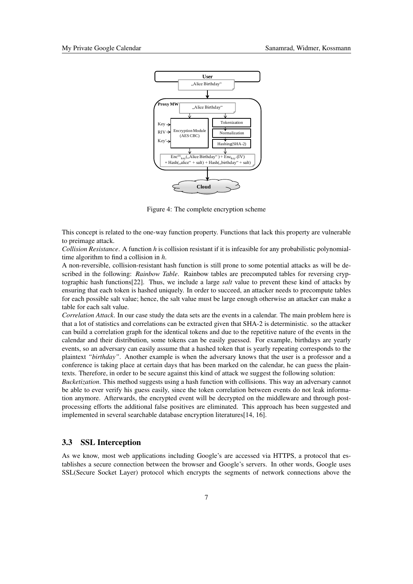

Figure 4: The complete encryption scheme

This concept is related to the one-way function property. Functions that lack this property are vulnerable to preimage attack.

*Collision Resistance*. A function *h* is collision resistant if it is infeasible for any probabilistic polynomialtime algorithm to find a collision in *h*.

A non-reversible, collision-resistant hash function is still prone to some potential attacks as will be described in the following: *Rainbow Table*. Rainbow tables are precomputed tables for reversing cryptographic hash functions[22]. Thus, we include a large *salt* value to prevent these kind of attacks by ensuring that each token is hashed uniquely. In order to succeed, an attacker needs to precompute tables for each possible salt value; hence, the salt value must be large enough otherwise an attacker can make a table for each salt value.

*Correlation Attack*. In our case study the data sets are the events in a calendar. The main problem here is that a lot of statistics and correlations can be extracted given that SHA-2 is deterministic. so the attacker can build a correlation graph for the identical tokens and due to the repetitive nature of the events in the calendar and their distribution, some tokens can be easily guessed. For example, birthdays are yearly events, so an adversary can easily assume that a hashed token that is yearly repeating corresponds to the plaintext *"birthday"*. Another example is when the adversary knows that the user is a professor and a conference is taking place at certain days that has been marked on the calendar, he can guess the plaintexts. Therefore, in order to be secure against this kind of attack we suggest the following solution:

*Bucketization*. This method suggests using a hash function with collisions. This way an adversary cannot be able to ever verify his guess easily, since the token correlation between events do not leak information anymore. Afterwards, the encrypted event will be decrypted on the middleware and through postprocessing efforts the additional false positives are eliminated. This approach has been suggested and implemented in several searchable database encryption literatures[14, 16].

#### 3.3 SSL Interception

As we know, most web applications including Google's are accessed via HTTPS, a protocol that establishes a secure connection between the browser and Google's servers. In other words, Google uses SSL(Secure Socket Layer) protocol which encrypts the segments of network connections above the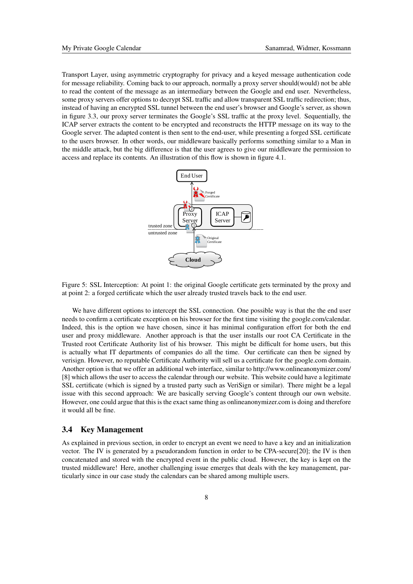Transport Layer, using asymmetric cryptography for privacy and a keyed message authentication code for message reliability. Coming back to our approach, normally a proxy server should(would) not be able to read the content of the message as an intermediary between the Google and end user. Nevertheless, some proxy servers offer options to decrypt SSL traffic and allow transparent SSL traffic redirection; thus, instead of having an encrypted SSL tunnel between the end user's browser and Google's server, as shown in figure 3.3, our proxy server terminates the Google's SSL traffic at the proxy level. Sequentially, the ICAP server extracts the content to be encrypted and reconstructs the HTTP message on its way to the Google server. The adapted content is then sent to the end-user, while presenting a forged SSL certificate to the users browser. In other words, our middleware basically performs something similar to a Man in the middle attack, but the big difference is that the user agrees to give our middleware the permission to access and replace its contents. An illustration of this flow is shown in figure 4.1.



Figure 5: SSL Interception: At point 1: the original Google certificate gets terminated by the proxy and at point 2: a forged certificate which the user already trusted travels back to the end user.

We have different options to intercept the SSL connection. One possible way is that the the end user needs to confirm a certificate exception on his browser for the first time visiting the google.com/calendar. Indeed, this is the option we have chosen, since it has minimal configuration effort for both the end user and proxy middleware. Another approach is that the user installs our root CA Certificate in the Trusted root Certificate Authority list of his browser. This might be difficult for home users, but this is actually what IT departments of companies do all the time. Our certificate can then be signed by verisign. However, no reputable Certificate Authority will sell us a certificate for the google.com domain. Another option is that we offer an additional web interface, similar to http://www.onlineanonymizer.com/ [8] which allows the user to access the calendar through our website. This website could have a legitimate SSL certificate (which is signed by a trusted party such as VeriSign or similar). There might be a legal issue with this second approach: We are basically serving Google's content through our own website. However, one could argue that this is the exact same thing as onlineanonymizer.com is doing and therefore it would all be fine.

#### 3.4 Key Management

As explained in previous section, in order to encrypt an event we need to have a key and an initialization vector. The IV is generated by a pseudorandom function in order to be CPA-secure[20]; the IV is then concatenated and stored with the encrypted event in the public cloud. However, the key is kept on the trusted middleware! Here, another challenging issue emerges that deals with the key management, particularly since in our case study the calendars can be shared among multiple users.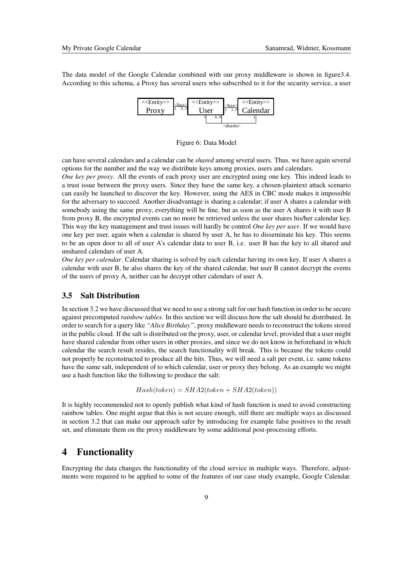The data model of the Google Calendar combined with our proxy middleware is shown in figure3.4. According to this schema, a Proxy has several users who subscribed to it for the security service, a user



Figure 6: Data Model

can have several calendars and a calendar can be *shared* among several users. Thus, we have again several options for the number and the way we distribute keys among proxies, users and calendars.

*One key per proxy*. All the events of each proxy user are encrypted using one key. This indeed leads to a trust issue between the proxy users. Since they have the same key, a chosen-plaintext attack scenario can easily be launched to discover the key. However, using the AES in CBC mode makes it impossible for the adversary to succeed. Another disadvantage is sharing a calendar; if user A shares a calendar with somebody using the same proxy, everything will be fine, but as soon as the user A shares it with user B from proxy B, the encrypted events can no more be retrieved unless the user shares his/her calendar key. This way the key management and trust issues will hardly be control *One key per user*. If we would have one key per user, again when a calendar is shared by user A, he has to disseminate his key. This seems to be an open door to all of user A's calendar data to user B, i.e. user B has the key to all shared and unshared calendars of user A.

*One key per calendar*. Calendar sharing is solved by each calendar having its own key. If user A shares a calendar with user B, he also shares the key of the shared calendar, but user B cannot decrypt the events of the users of proxy A, neither can he decrypt other calendars of user A.

#### 3.5 Salt Distribution

In section 3.2 we have discussed that we need to use a strong salt for our hash function in order to be secure against precomputed *rainbow tables*. In this section we will discuss how the salt should be distributed. In order to search for a query like *"Alice Birthday"*, proxy middleware needs to reconstruct the tokens stored in the public cloud. If the salt is distributed on the proxy, user, or calendar level, provided that a user might have shared calendar from other users in other proxies, and since we do not know in beforehand in which calendar the search result resides, the search functionality will break. This is because the tokens could not properly be reconstructed to produce all the hits. Thus, we will need a salt per event, i.e. same tokens have the same salt, independent of to which calendar, user or proxy they belong. As an example we might use a hash function like the following to produce the salt:

$$
Hash(token) = SHA2(token + SHA2(token))
$$

It is highly recommended not to openly publish what kind of hash function is used to avoid constructing rainbow tables. One might argue that this is not secure enough, still there are multiple ways as discussed in section 3.2 that can make our approach safer by introducing for example false positives to the result set, and eliminate them on the proxy middleware by some additional post-processing efforts.

# 4 Functionality

Encrypting the data changes the functionality of the cloud service in multiple ways. Therefore, adjustments were required to be applied to some of the features of our case study example, Google Calendar.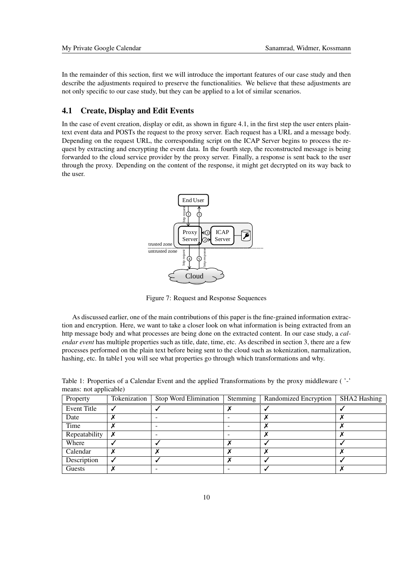In the remainder of this section, first we will introduce the important features of our case study and then describe the adjustments required to preserve the functionalities. We believe that these adjustments are not only specific to our case study, but they can be applied to a lot of similar scenarios.

## 4.1 Create, Display and Edit Events

In the case of event creation, display or edit, as shown in figure 4.1, in the first step the user enters plaintext event data and POSTs the request to the proxy server. Each request has a URL and a message body. Depending on the request URL, the corresponding script on the ICAP Server begins to process the request by extracting and encrypting the event data. In the fourth step, the reconstructed message is being forwarded to the cloud service provider by the proxy server. Finally, a response is sent back to the user through the proxy. Depending on the content of the response, it might get decrypted on its way back to the user.



Figure 7: Request and Response Sequences

As discussed earlier, one of the main contributions of this paper is the fine-grained information extraction and encryption. Here, we want to take a closer look on what information is being extracted from an http message body and what processes are being done on the extracted content. In our case study, a *calendar event* has multiple properties such as title, date, time, etc. As described in section 3, there are a few processes performed on the plain text before being sent to the cloud such as tokenization, narmalization, hashing, etc. In table1 you will see what properties go through which transformations and why.

| . .           |              |                          |          |                       |                     |
|---------------|--------------|--------------------------|----------|-----------------------|---------------------|
| Property      | Tokenization | Stop Word Elimination    | Stemming | Randomized Encryption | <b>SHA2 Hashing</b> |
| Event Title   |              |                          |          |                       |                     |
| Date          |              |                          |          |                       |                     |
| Time          |              |                          |          |                       |                     |
| Repeatability | X            | $\overline{\phantom{a}}$ |          |                       |                     |
| Where         |              |                          |          |                       |                     |
| Calendar      |              |                          |          |                       |                     |
| Description   |              |                          |          |                       |                     |
| Guests        |              |                          |          |                       |                     |

Table 1: Properties of a Calendar Event and the applied Transformations by the proxy middleware ( '-' means: not applicable)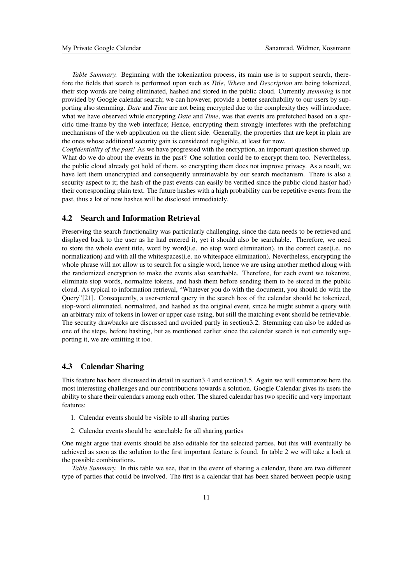*Table Summary.* Beginning with the tokenization process, its main use is to support search, therefore the fields that search is performed upon such as *Title*, *Where* and *Description* are being tokenized, their stop words are being eliminated, hashed and stored in the public cloud. Currently *stemming* is not provided by Google calendar search; we can however, provide a better searchability to our users by supporting also stemming. *Date* and *Time* are not being encrypted due to the complexity they will introduce; what we have observed while encrypting *Date* and *Time*, was that events are prefetched based on a specific time-frame by the web interface; Hence, encrypting them strongly interferes with the prefetching mechanisms of the web application on the client side. Generally, the properties that are kept in plain are the ones whose additional security gain is considered negligible, at least for now.

*Confidentiality of the past!* As we have progressed with the encryption, an important question showed up. What do we do about the events in the past? One solution could be to encrypt them too. Nevertheless, the public cloud already got hold of them, so encrypting them does not improve privacy. As a result, we have left them unencrypted and consequently unretrievable by our search mechanism. There is also a security aspect to it; the hash of the past events can easily be verified since the public cloud has(or had) their corresponding plain text. The future hashes with a high probability can be repetitive events from the past, thus a lot of new hashes will be disclosed immediately.

## 4.2 Search and Information Retrieval

Preserving the search functionality was particularly challenging, since the data needs to be retrieved and displayed back to the user as he had entered it, yet it should also be searchable. Therefore, we need to store the whole event title, word by word(i.e. no stop word elimination), in the correct case(i.e. no normalization) and with all the whitespaces(i.e. no whitespace elimination). Nevertheless, encrypting the whole phrase will not allow us to search for a single word, hence we are using another method along with the randomized encryption to make the events also searchable. Therefore, for each event we tokenize, eliminate stop words, normalize tokens, and hash them before sending them to be stored in the public cloud. As typical to information retrieval, "Whatever you do with the document, you should do with the Query"[21]. Consequently, a user-entered query in the search box of the calendar should be tokenized, stop-word eliminated, normalized, and hashed as the original event, since he might submit a query with an arbitrary mix of tokens in lower or upper case using, but still the matching event should be retrievable. The security drawbacks are discussed and avoided partly in section3.2. Stemming can also be added as one of the steps, before hashing, but as mentioned earlier since the calendar search is not currently supporting it, we are omitting it too.

## 4.3 Calendar Sharing

This feature has been discussed in detail in section3.4 and section3.5. Again we will summarize here the most interesting challenges and our contributions towards a solution. Google Calendar gives its users the ability to share their calendars among each other. The shared calendar has two specific and very important features:

- 1. Calendar events should be visible to all sharing parties
- 2. Calendar events should be searchable for all sharing parties

One might argue that events should be also editable for the selected parties, but this will eventually be achieved as soon as the solution to the first important feature is found. In table 2 we will take a look at the possible combinations.

*Table Summary.* In this table we see, that in the event of sharing a calendar, there are two different type of parties that could be involved. The first is a calendar that has been shared between people using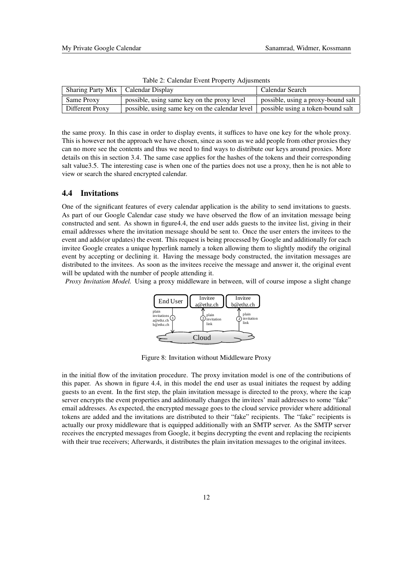| Sharing Party Mix   Calendar Display |                                                                                    | Calendar Search                    |
|--------------------------------------|------------------------------------------------------------------------------------|------------------------------------|
| Same Proxy                           | possible, using same key on the proxy level                                        | possible, using a proxy-bound salt |
| Different Proxy                      | possible, using same key on the calendar level   possible using a token-bound salt |                                    |

Table 2: Calendar Event Property Adjusments

the same proxy. In this case in order to display events, it suffices to have one key for the whole proxy. This is however not the approach we have chosen, since as soon as we add people from other proxies they can no more see the contents and thus we need to find ways to distribute our keys around proxies. More details on this in section 3.4. The same case applies for the hashes of the tokens and their corresponding salt value3.5. The interesting case is when one of the parties does not use a proxy, then he is not able to view or search the shared encrypted calendar.

## 4.4 Invitations

One of the significant features of every calendar application is the ability to send invitations to guests. As part of our Google Calendar case study we have observed the flow of an invitation message being constructed and sent. As shown in figure4.4, the end user adds guests to the invitee list, giving in their email addresses where the invitation message should be sent to. Once the user enters the invitees to the event and adds(or updates) the event. This request is being processed by Google and additionally for each invitee Google creates a unique hyperlink namely a token allowing them to slightly modify the original event by accepting or declining it. Having the message body constructed, the invitation messages are distributed to the invitees. As soon as the invitees receive the message and answer it, the original event will be updated with the number of people attending it.

*Proxy Invitation Model.* Using a proxy middleware in between, will of course impose a slight change



Figure 8: Invitation without Middleware Proxy

in the initial flow of the invitation procedure. The proxy invitation model is one of the contributions of this paper. As shown in figure 4.4, in this model the end user as usual initiates the request by adding guests to an event. In the first step, the plain invitation message is directed to the proxy, where the icap server encrypts the event properties and additionally changes the invitees' mail addresses to some "fake" email addresses. As expected, the encrypted message goes to the cloud service provider where additional tokens are added and the invitations are distributed to their "fake" recipients. The "fake" recipients is actually our proxy middleware that is equipped additionally with an SMTP server. As the SMTP server receives the encrypted messages from Google, it begins decrypting the event and replacing the recipients with their true receivers; Afterwards, it distributes the plain invitation messages to the original invitees.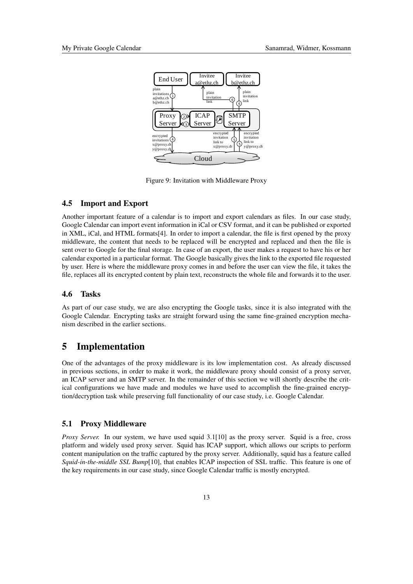

Figure 9: Invitation with Middleware Proxy

### 4.5 Import and Export

Another important feature of a calendar is to import and export calendars as files. In our case study, Google Calendar can import event information in iCal or CSV format, and it can be published or exported in XML, iCal, and HTML formats[4]. In order to import a calendar, the file is first opened by the proxy middleware, the content that needs to be replaced will be encrypted and replaced and then the file is sent over to Google for the final storage. In case of an export, the user makes a request to have his or her calendar exported in a particular format. The Google basically gives the link to the exported file requested by user. Here is where the middleware proxy comes in and before the user can view the file, it takes the file, replaces all its encrypted content by plain text, reconstructs the whole file and forwards it to the user.

#### 4.6 Tasks

As part of our case study, we are also encrypting the Google tasks, since it is also integrated with the Google Calendar. Encrypting tasks are straight forward using the same fine-grained encryption mechanism described in the earlier sections.

# 5 Implementation

One of the advantages of the proxy middleware is its low implementation cost. As already discussed in previous sections, in order to make it work, the middleware proxy should consist of a proxy server, an ICAP server and an SMTP server. In the remainder of this section we will shortly describe the critical configurations we have made and modules we have used to accomplish the fine-grained encryption/decryption task while preserving full functionality of our case study, i.e. Google Calendar.

### 5.1 Proxy Middleware

*Proxy Server.* In our system, we have used squid 3.1[10] as the proxy server. Squid is a free, cross platform and widely used proxy server. Squid has ICAP support, which allows our scripts to perform content manipulation on the traffic captured by the proxy server. Additionally, squid has a feature called *Squid-in-the-middle SSL Bump*[10], that enables ICAP inspection of SSL traffic. This feature is one of the key requirements in our case study, since Google Calendar traffic is mostly encrypted.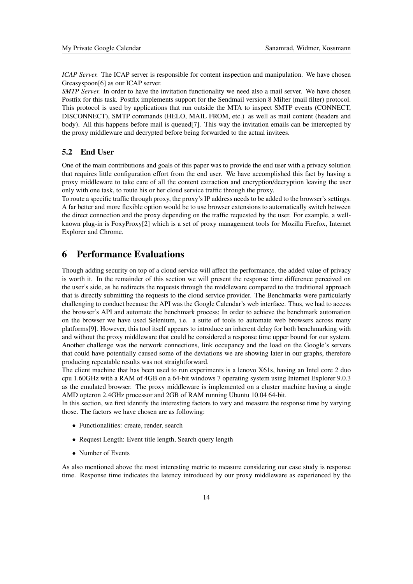*ICAP Server.* The ICAP server is responsible for content inspection and manipulation. We have chosen Greasyspoon[6] as our ICAP server.

*SMTP Server.* In order to have the invitation functionality we need also a mail server. We have chosen Postfix for this task. Postfix implements support for the Sendmail version 8 Milter (mail filter) protocol. This protocol is used by applications that run outside the MTA to inspect SMTP events (CONNECT, DISCONNECT), SMTP commands (HELO, MAIL FROM, etc.) as well as mail content (headers and body). All this happens before mail is queued[7]. This way the invitation emails can be intercepted by the proxy middleware and decrypted before being forwarded to the actual invitees.

## 5.2 End User

One of the main contributions and goals of this paper was to provide the end user with a privacy solution that requires little configuration effort from the end user. We have accomplished this fact by having a proxy middleware to take care of all the content extraction and encryption/decryption leaving the user only with one task, to route his or her cloud service traffic through the proxy.

To route a specific traffic through proxy, the proxy's IP address needs to be added to the browser's settings. A far better and more flexible option would be to use browser extensions to automatically switch between the direct connection and the proxy depending on the traffic requested by the user. For example, a wellknown plug-in is FoxyProxy[2] which is a set of proxy management tools for Mozilla Firefox, Internet Explorer and Chrome.

# 6 Performance Evaluations

Though adding security on top of a cloud service will affect the performance, the added value of privacy is worth it. In the remainder of this section we will present the response time difference perceived on the user's side, as he redirects the requests through the middleware compared to the traditional approach that is directly submitting the requests to the cloud service provider. The Benchmarks were particularly challenging to conduct because the API was the Google Calendar's web interface. Thus, we had to access the browser's API and automate the benchmark process; In order to achieve the benchmark automation on the browser we have used Selenium, i.e. a suite of tools to automate web browsers across many platforms[9]. However, this tool itself appears to introduce an inherent delay for both benchmarking with and without the proxy middleware that could be considered a response time upper bound for our system. Another challenge was the network connections, link occupancy and the load on the Google's servers that could have potentially caused some of the deviations we are showing later in our graphs, therefore producing repeatable results was not straightforward.

The client machine that has been used to run experiments is a lenovo X61s, having an Intel core 2 duo cpu 1.60GHz with a RAM of 4GB on a 64-bit windows 7 operating system using Internet Explorer 9.0.3 as the emulated browser. The proxy middleware is implemented on a cluster machine having a single AMD opteron 2.4GHz processor and 2GB of RAM running Ubuntu 10.04 64-bit.

In this section, we first identify the interesting factors to vary and measure the response time by varying those. The factors we have chosen are as following:

- Functionalities: create, render, search
- Request Length: Event title length, Search query length
- Number of Events

As also mentioned above the most interesting metric to measure considering our case study is response time. Response time indicates the latency introduced by our proxy middleware as experienced by the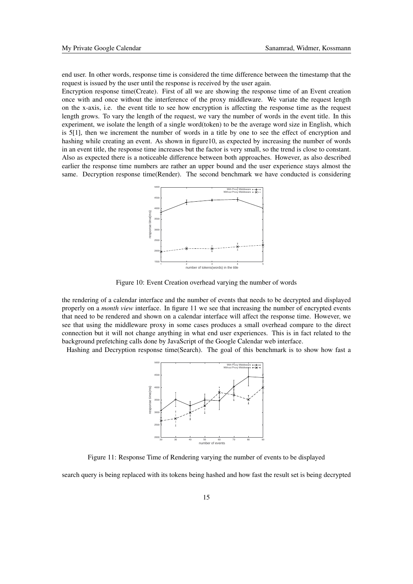end user. In other words, response time is considered the time difference between the timestamp that the request is issued by the user until the response is received by the user again.

Encryption response time(Create). First of all we are showing the response time of an Event creation once with and once without the interference of the proxy middleware. We variate the request length on the x-axis, i.e. the event title to see how encryption is affecting the response time as the request length grows. To vary the length of the request, we vary the number of words in the event title. In this experiment, we isolate the length of a single word(token) to be the average word size in English, which is 5[1], then we increment the number of words in a title by one to see the effect of encryption and hashing while creating an event. As shown in figure10, as expected by increasing the number of words in an event title, the response time increases but the factor is very small, so the trend is close to constant. Also as expected there is a noticeable difference between both approaches. However, as also described earlier the response time numbers are rather an upper bound and the user experience stays almost the same. Decryption response time(Render). The second benchmark we have conducted is considering



Figure 10: Event Creation overhead varying the number of words

the rendering of a calendar interface and the number of events that needs to be decrypted and displayed properly on a *month view* interface. In figure 11 we see that increasing the number of encrypted events that need to be rendered and shown on a calendar interface will affect the response time. However, we see that using the middleware proxy in some cases produces a small overhead compare to the direct connection but it will not change anything in what end user experiences. This is in fact related to the background prefetching calls done by JavaScript of the Google Calendar web interface.

Hashing and Decryption response time(Search). The goal of this benchmark is to show how fast a



Figure 11: Response Time of Rendering varying the number of events to be displayed

search query is being replaced with its tokens being hashed and how fast the result set is being decrypted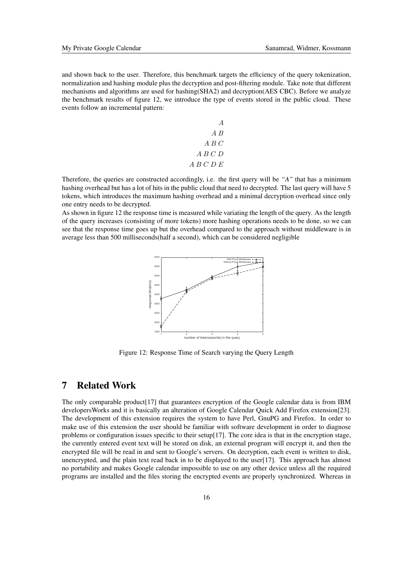and shown back to the user. Therefore, this benchmark targets the efficiency of the query tokenization, normalization and hashing module plus the decryption and post-filtering module. Take note that different mechanisms and algorithms are used for hashing(SHA2) and decryption(AES CBC). Before we analyze the benchmark results of figure 12, we introduce the type of events stored in the public cloud. These events follow an incremental pattern:

$$
\begin{array}{c}\nA \\
A \ B \\
B \ C\n\\ A \ B \ C \ D\n\\ A \ B \ C \ D \ E\n\end{array}
$$

Therefore, the queries are constructed accordingly, i.e. the first query will be *"A"* that has a minimum hashing overhead but has a lot of hits in the public cloud that need to decrypted. The last query will have 5 tokens, which introduces the maximum hashing overhead and a minimal decryption overhead since only one entry needs to be decrypted.

As shown in figure 12 the response time is measured while variating the length of the query. As the length of the query increases (consisting of more tokens) more hashing operations needs to be done, so we can see that the response time goes up but the overhead compared to the approach without middleware is in average less than 500 milliseconds(half a second), which can be considered negligible



Figure 12: Response Time of Search varying the Query Length

# 7 Related Work

The only comparable product[17] that guarantees encryption of the Google calendar data is from IBM developersWorks and it is basically an alteration of Google Calendar Quick Add Firefox extension[23]. The development of this extension requires the system to have Perl, GnuPG and Firefox. In order to make use of this extension the user should be familiar with software development in order to diagnose problems or configuration issues specific to their setup[17]. The core idea is that in the encryption stage, the currently entered event text will be stored on disk, an external program will encrypt it, and then the encrypted file will be read in and sent to Google's servers. On decryption, each event is written to disk, unencrypted, and the plain text read back in to be displayed to the user[17]. This approach has almost no portability and makes Google calendar impossible to use on any other device unless all the required programs are installed and the files storing the encrypted events are properly synchronized. Whereas in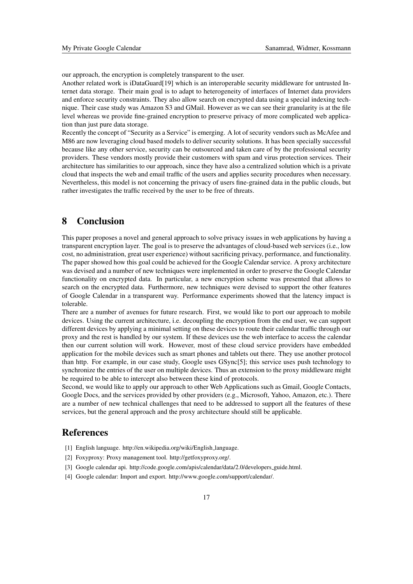our approach, the encryption is completely transparent to the user.

Another related work is iDataGuard[19] which is an interoperable security middleware for untrusted Internet data storage. Their main goal is to adapt to heterogeneity of interfaces of Internet data providers and enforce security constraints. They also allow search on encrypted data using a special indexing technique. Their case study was Amazon S3 and GMail. However as we can see their granularity is at the file level whereas we provide fine-grained encryption to preserve privacy of more complicated web application than just pure data storage.

Recently the concept of "Security as a Service" is emerging. A lot of security vendors such as McAfee and M86 are now leveraging cloud based models to deliver security solutions. It has been specially successful because like any other service, security can be outsourced and taken care of by the professional security providers. These vendors mostly provide their customers with spam and virus protection services. Their architecture has similarities to our approach, since they have also a centralized solution which is a private cloud that inspects the web and email traffic of the users and applies security procedures when necessary. Nevertheless, this model is not concerning the privacy of users fine-grained data in the public clouds, but rather investigates the traffic received by the user to be free of threats.

# 8 Conclusion

This paper proposes a novel and general approach to solve privacy issues in web applications by having a transparent encryption layer. The goal is to preserve the advantages of cloud-based web services (i.e., low cost, no administration, great user experience) without sacrificing privacy, performance, and functionality. The paper showed how this goal could be achieved for the Google Calendar service. A proxy architecture was devised and a number of new techniques were implemented in order to preserve the Google Calendar functionality on encrypted data. In particular, a new encryption scheme was presented that allows to search on the encrypted data. Furthermore, new techniques were devised to support the other features of Google Calendar in a transparent way. Performance experiments showed that the latency impact is tolerable.

There are a number of avenues for future research. First, we would like to port our approach to mobile devices. Using the current architecture, i.e. decoupling the encryption from the end user, we can support different devices by applying a minimal setting on these devices to route their calendar traffic through our proxy and the rest is handled by our system. If these devices use the web interface to access the calendar then our current solution will work. However, most of these cloud service providers have embedded application for the mobile devices such as smart phones and tablets out there. They use another protocol than http. For example, in our case study, Google uses GSync[5]; this service uses push technology to synchronize the entries of the user on multiple devices. Thus an extension to the proxy middleware might be required to be able to intercept also between these kind of protocols.

Second, we would like to apply our approach to other Web Applications such as Gmail, Google Contacts, Google Docs, and the services provided by other providers (e.g., Microsoft, Yahoo, Amazon, etc.). There are a number of new technical challenges that need to be addressed to support all the features of these services, but the general approach and the proxy architecture should still be applicable.

## **References**

- [1] English language. http://en.wikipedia.org/wiki/English language.
- [2] Foxyproxy: Proxy management tool. http://getfoxyproxy.org/.
- [3] Google calendar api. http://code.google.com/apis/calendar/data/2.0/developers\_guide.html.
- [4] Google calendar: Import and export. http://www.google.com/support/calendar/.